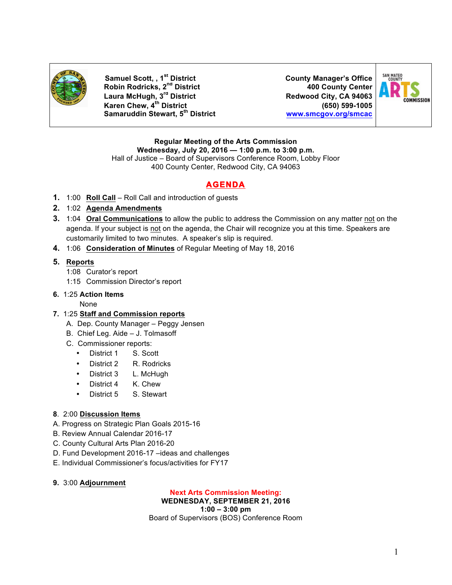

**Samuel Scott, , 1st District County Manager's Office Robin Rodricks, 2nd District 400 County Center Laura McHugh, 3rd District Redwood City, CA 94063 Karen Chew, 4th District (650) 599-1005 Samaruddin Stewart, 5th District www.smcgov.org/smcac**



#### **Regular Meeting of the Arts Commission Wednesday, July 20, 2016 — 1:00 p.m. to 3:00 p.m.**

Hall of Justice – Board of Supervisors Conference Room, Lobby Floor 400 County Center, Redwood City, CA 94063

# **AGENDA**

- **1.** 1:00 **Roll Call** Roll Call and introduction of guests
- **2.** 1:02 **Agenda Amendments**
- **3.** 1:04 **Oral Communications** to allow the public to address the Commission on any matter not on the agenda. If your subject is not on the agenda, the Chair will recognize you at this time. Speakers are customarily limited to two minutes. A speaker's slip is required.
- **4.** 1:06 **Consideration of Minutes** of Regular Meeting of May 18, 2016

## **5. Reports**

- 1:08 Curator's report
- 1:15 Commission Director's report

## **6.** 1:25 **Action Items**

None

## **7.** 1:25 **Staff and Commission reports**

- A. Dep. County Manager Peggy Jensen
- B. Chief Leg. Aide J. Tolmasoff
- C. Commissioner reports:
	- District 1 S. Scott
	- District 2 R. Rodricks
	- District 3 L. McHugh
	- District 4 K. Chew
	- District 5 S. Stewart
- **8**. 2:00 **Discussion Items**
- A. Progress on Strategic Plan Goals 2015-16
- B. Review Annual Calendar 2016-17
- C. County Cultural Arts Plan 2016-20
- D. Fund Development 2016-17 –ideas and challenges
- E. Individual Commissioner's focus/activities for FY17
- **9.** 3:00 **Adjournment**

### **Next Arts Commission Meeting:**

### **WEDNESDAY, SEPTEMBER 21, 2016**

**1:00 – 3:00 pm** Board of Supervisors (BOS) Conference Room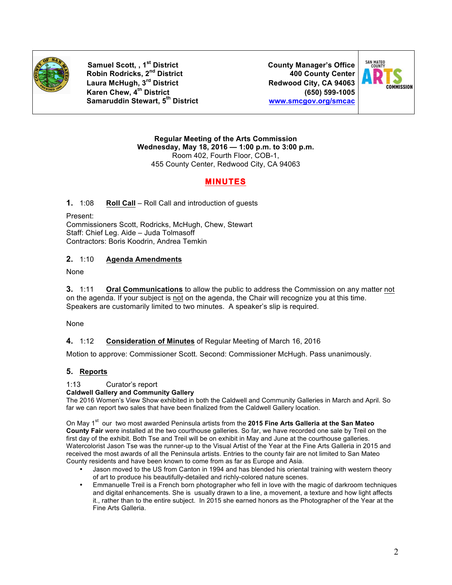

**Samuel Scott, , 1st District County Manager's Office Robin Rodricks, 2nd District 400 County Center Laura McHugh, 3rd District Redwood City, CA 94063 Karen Chew, 4th District (650) 599-1005 Samaruddin Stewart, 5th District www.smcgov.org/smcac**



**Regular Meeting of the Arts Commission Wednesday, May 18, 2016 — 1:00 p.m. to 3:00 p.m.** Room 402, Fourth Floor, COB-1, 455 County Center, Redwood City, CA 94063

# **MINUTES**

**1.** 1:08 **Roll Call** – Roll Call and introduction of guests

Present:

Commissioners Scott, Rodricks, McHugh, Chew, Stewart Staff: Chief Leg. Aide – Juda Tolmasoff Contractors: Boris Koodrin, Andrea Temkin

### **2.** 1:10 **Agenda Amendments**

None

**3.** 1:11 **Oral Communications** to allow the public to address the Commission on any matter not on the agenda. If your subject is not on the agenda, the Chair will recognize you at this time. Speakers are customarily limited to two minutes. A speaker's slip is required.

None

### **4.** 1:12 **Consideration of Minutes** of Regular Meeting of March 16, 2016

Motion to approve: Commissioner Scott. Second: Commissioner McHugh. Pass unanimously.

### **5. Reports**

### 1:13 Curator's report

#### **Caldwell Gallery and Community Gallery**

The 2016 Women's View Show exhibited in both the Caldwell and Community Galleries in March and April. So far we can report two sales that have been finalized from the Caldwell Gallery location.

On May 1<sup>st</sup> our two most awarded Peninsula artists from the 2015 Fine Arts Galleria at the San Mateo **County Fair** were installed at the two courthouse galleries. So far, we have recorded one sale by Treil on the first day of the exhibit. Both Tse and Treil will be on exhibit in May and June at the courthouse galleries. Watercolorist Jason Tse was the runner-up to the Visual Artist of the Year at the Fine Arts Galleria in 2015 and received the most awards of all the Peninsula artists. Entries to the county fair are not limited to San Mateo County residents and have been known to come from as far as Europe and Asia.

- Jason moved to the US from Canton in 1994 and has blended his oriental training with western theory of art to produce his beautifully-detailed and richly-colored nature scenes.
- Emmanuelle Treil is a French born photographer who fell in love with the magic of darkroom techniques and digital enhancements. She is usually drawn to a line, a movement, a texture and how light affects it., rather than to the entire subject. In 2015 she earned honors as the Photographer of the Year at the Fine Arts Galleria.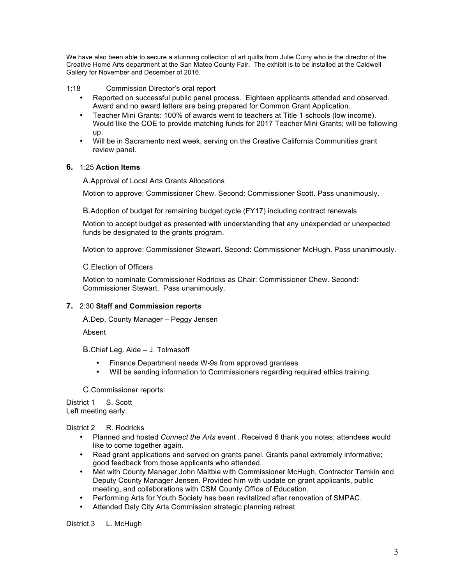We have also been able to secure a stunning collection of art quilts from Julie Curry who is the director of the Creative Home Arts department at the San Mateo County Fair. The exhibit is to be installed at the Caldwell Gallery for November and December of 2016.

#### 1:18 Commission Director's oral report

- Reported on successful public panel process. Eighteen applicants attended and observed. Award and no award letters are being prepared for Common Grant Application.
- Teacher Mini Grants: 100% of awards went to teachers at Title 1 schools (low income). Would like the COE to provide matching funds for 2017 Teacher Mini Grants; will be following up.
- Will be in Sacramento next week, serving on the Creative California Communities grant review panel.

#### **6.** 1:25 **Action Items**

A.Approval of Local Arts Grants Allocations

Motion to approve: Commissioner Chew. Second: Commissioner Scott. Pass unanimously.

B.Adoption of budget for remaining budget cycle (FY17) including contract renewals

Motion to accept budget as presented with understanding that any unexpended or unexpected funds be designated to the grants program.

Motion to approve: Commissioner Stewart. Second: Commissioner McHugh. Pass unanimously.

C.Election of Officers

Motion to nominate Commissioner Rodricks as Chair: Commissioner Chew. Second: Commissioner Stewart. Pass unanimously.

### **7.** 2:30 **Staff and Commission reports**

A.Dep. County Manager – Peggy Jensen

Absent

B.Chief Leg. Aide – J. Tolmasoff

- Finance Department needs W-9s from approved grantees.
- Will be sending information to Commissioners regarding required ethics training.

C.Commissioner reports:

District 1 S. Scott Left meeting early.

District 2 R. Rodricks

- Planned and hosted *Connect the Arts* event . Received 6 thank you notes; attendees would like to come together again.
- Read grant applications and served on grants panel. Grants panel extremely informative; good feedback from those applicants who attended.
- Met with County Manager John Maltbie with Commissioner McHugh, Contractor Temkin and Deputy County Manager Jensen. Provided him with update on grant applicants, public meeting, and collaborations with CSM County Office of Education.
- Performing Arts for Youth Society has been revitalized after renovation of SMPAC.
- Attended Daly City Arts Commission strategic planning retreat.

District 3 L. McHugh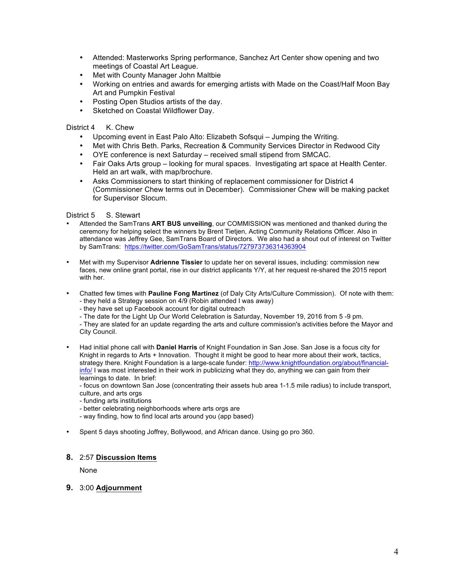- Attended: Masterworks Spring performance, Sanchez Art Center show opening and two meetings of Coastal Art League.
- Met with County Manager John Maltbie
- Working on entries and awards for emerging artists with Made on the Coast/Half Moon Bay Art and Pumpkin Festival
- Posting Open Studios artists of the day.
- Sketched on Coastal Wildflower Day.

#### District 4 K. Chew

- Upcoming event in East Palo Alto: Elizabeth Sofsqui Jumping the Writing.
- Met with Chris Beth. Parks, Recreation & Community Services Director in Redwood City
- OYE conference is next Saturday received small stipend from SMCAC.<br>• Fair Oaks Arts group looking for mural spaces. Investigating art space
- Fair Oaks Arts group looking for mural spaces. Investigating art space at Health Center. Held an art walk, with map/brochure.
- Asks Commissioners to start thinking of replacement commissioner for District 4 (Commissioner Chew terms out in December). Commissioner Chew will be making packet for Supervisor Slocum.

#### District 5 S. Stewart

- Attended the SamTrans **ART BUS unveiling**, our COMMISSION was mentioned and thanked during the ceremony for helping select the winners by Brent Tietjen, Acting Community Relations Officer. Also in attendance was Jeffrey Gee, SamTrans Board of Directors. We also had a shout out of interest on Twitter by SamTrans: https://twitter.com/GoSamTrans/status/727973736314363904
- Met with my Supervisor **Adrienne Tissier** to update her on several issues, including: commission new faces, new online grant portal, rise in our district applicants Y/Y, at her request re-shared the 2015 report with her.
- Chatted few times with **Pauline Fong Martinez** (of Daly City Arts/Culture Commission). Of note with them: - they held a Strategy session on 4/9 (Robin attended I was away)
	- they have set up Facebook account for digital outreach
	- The date for the Light Up Our World Celebration is Saturday, November 19, 2016 from 5 -9 pm.

- They are slated for an update regarding the arts and culture commission's activities before the Mayor and City Council.

• Had initial phone call with **Daniel Harris** of Knight Foundation in San Jose. San Jose is a focus city for Knight in regards to Arts + Innovation. Thought it might be good to hear more about their work, tactics, strategy there. Knight Foundation is a large-scale funder: http://www.knightfoundation.org/about/financialinfo/ I was most interested in their work in publicizing what they do, anything we can gain from their learnings to date. In brief:

- focus on downtown San Jose (concentrating their assets hub area 1-1.5 mile radius) to include transport, culture, and arts orgs

- funding arts institutions
- better celebrating neighborhoods where arts orgs are
- way finding, how to find local arts around you (app based)
- Spent 5 days shooting Joffrey, Bollywood, and African dance. Using go pro 360.

#### **8.** 2:57 **Discussion Items**

None

#### **9.** 3:00 **Adjournment**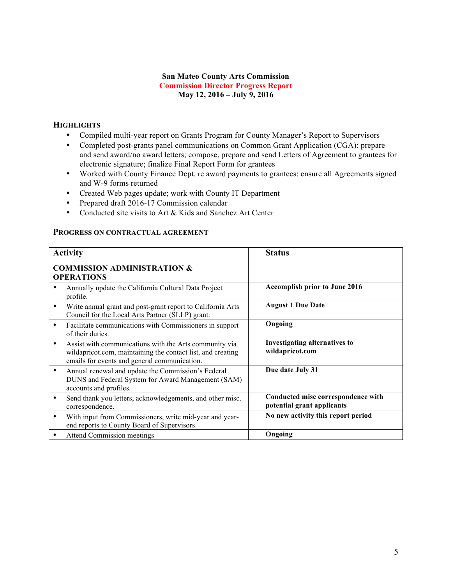### **San Mateo County Arts Commission Commission Director Progress Report May 12, 2016 – July 9, 2016**

# **HIGHLIGHTS**

- Compiled multi-year report on Grants Program for County Manager's Report to Supervisors
- Completed post-grants panel communications on Common Grant Application (CGA): prepare and send award/no award letters; compose, prepare and send Letters of Agreement to grantees for electronic signature; finalize Final Report Form for grantees
- Worked with County Finance Dept. re award payments to grantees: ensure all Agreements signed and W-9 forms returned
- Created Web pages update; work with County IT Department
- Prepared draft 2016-17 Commission calendar
- Conducted site visits to Art & Kids and Sanchez Art Center

#### **PROGRESS ON CONTRACTUAL AGREEMENT**

| <b>Activity</b>                                             |                                                                                                                                                                       | <b>Status</b>                                                    |
|-------------------------------------------------------------|-----------------------------------------------------------------------------------------------------------------------------------------------------------------------|------------------------------------------------------------------|
| <b>COMMISSION ADMINISTRATION &amp;</b><br><b>OPERATIONS</b> |                                                                                                                                                                       |                                                                  |
|                                                             | Annually update the California Cultural Data Project<br>profile.                                                                                                      | <b>Accomplish prior to June 2016</b>                             |
| ٠                                                           | Write annual grant and post-grant report to California Arts<br>Council for the Local Arts Partner (SLLP) grant.                                                       | <b>August 1 Due Date</b>                                         |
| ٠                                                           | Facilitate communications with Commissioners in support<br>of their duties.                                                                                           | Ongoing                                                          |
| ٠                                                           | Assist with communications with the Arts community via<br>wildapricot.com, maintaining the contact list, and creating<br>emails for events and general communication. | <b>Investigating alternatives to</b><br>wildapricot.com          |
| ٠                                                           | Annual renewal and update the Commission's Federal<br>DUNS and Federal System for Award Management (SAM)<br>accounts and profiles.                                    | Due date July 31                                                 |
| ٠                                                           | Send thank you letters, acknowledgements, and other misc.<br>correspondence.                                                                                          | Conducted misc correspondence with<br>potential grant applicants |
| ٠                                                           | With input from Commissioners, write mid-year and year-<br>end reports to County Board of Supervisors.                                                                | No new activity this report period                               |
|                                                             | <b>Attend Commission meetings</b>                                                                                                                                     | Ongoing                                                          |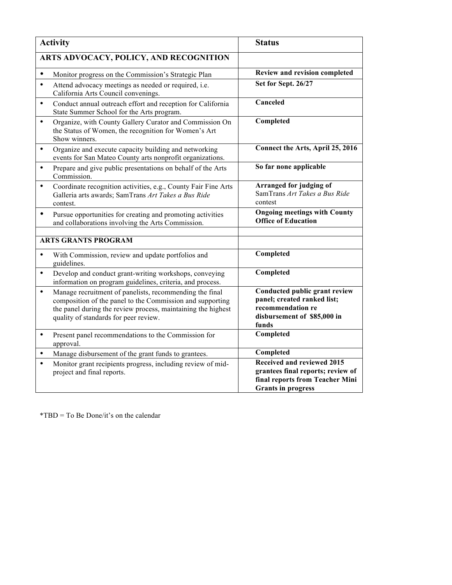| <b>Activity</b>                                                                                                                                                                                                                            | <b>Status</b>                                                                                                                          |
|--------------------------------------------------------------------------------------------------------------------------------------------------------------------------------------------------------------------------------------------|----------------------------------------------------------------------------------------------------------------------------------------|
| ARTS ADVOCACY, POLICY, AND RECOGNITION                                                                                                                                                                                                     |                                                                                                                                        |
| $\bullet$<br>Monitor progress on the Commission's Strategic Plan                                                                                                                                                                           | Review and revision completed                                                                                                          |
| Attend advocacy meetings as needed or required, i.e.<br>$\bullet$<br>California Arts Council convenings.                                                                                                                                   | Set for Sept. 26/27                                                                                                                    |
| Conduct annual outreach effort and reception for California<br>$\bullet$<br>State Summer School for the Arts program.                                                                                                                      | Canceled                                                                                                                               |
| Organize, with County Gallery Curator and Commission On<br>$\bullet$<br>the Status of Women, the recognition for Women's Art<br>Show winners.                                                                                              | Completed                                                                                                                              |
| Organize and execute capacity building and networking<br>$\bullet$<br>events for San Mateo County arts nonprofit organizations.                                                                                                            | Connect the Arts, April 25, 2016                                                                                                       |
| Prepare and give public presentations on behalf of the Arts<br>$\bullet$<br>Commission.                                                                                                                                                    | So far none applicable                                                                                                                 |
| Coordinate recognition activities, e.g., County Fair Fine Arts<br>٠<br>Galleria arts awards; SamTrans Art Takes a Bus Ride<br>contest.                                                                                                     | Arranged for judging of<br>SamTrans Art Takes a Bus Ride<br>contest                                                                    |
| Pursue opportunities for creating and promoting activities<br>$\bullet$<br>and collaborations involving the Arts Commission.                                                                                                               | <b>Ongoing meetings with County</b><br><b>Office of Education</b>                                                                      |
| <b>ARTS GRANTS PROGRAM</b>                                                                                                                                                                                                                 |                                                                                                                                        |
|                                                                                                                                                                                                                                            |                                                                                                                                        |
| With Commission, review and update portfolios and<br>$\bullet$<br>guidelines.                                                                                                                                                              | Completed                                                                                                                              |
| Develop and conduct grant-writing workshops, conveying<br>$\bullet$<br>information on program guidelines, criteria, and process.                                                                                                           | Completed                                                                                                                              |
| Manage recruitment of panelists, recommending the final<br>$\bullet$<br>composition of the panel to the Commission and supporting<br>the panel during the review process, maintaining the highest<br>quality of standards for peer review. | Conducted public grant review<br>panel; created ranked list;<br>recommendation re<br>disbursement of \$85,000 in<br>funds              |
| Present panel recommendations to the Commission for<br>$\bullet$<br>approval.                                                                                                                                                              | Completed                                                                                                                              |
| Manage disbursement of the grant funds to grantees.<br>$\bullet$                                                                                                                                                                           | Completed                                                                                                                              |
| Monitor grant recipients progress, including review of mid-<br>$\bullet$<br>project and final reports.                                                                                                                                     | <b>Received and reviewed 2015</b><br>grantees final reports; review of<br>final reports from Teacher Mini<br><b>Grants in progress</b> |

\*TBD = To Be Done/it's on the calendar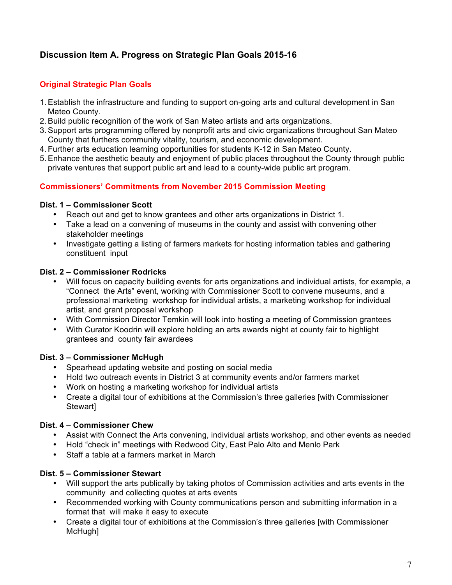# **Discussion Item A. Progress on Strategic Plan Goals 2015-16**

# **Original Strategic Plan Goals**

- 1. Establish the infrastructure and funding to support on-going arts and cultural development in San Mateo County.
- 2. Build public recognition of the work of San Mateo artists and arts organizations.
- 3. Support arts programming offered by nonprofit arts and civic organizations throughout San Mateo County that furthers community vitality, tourism, and economic development.
- 4. Further arts education learning opportunities for students K-12 in San Mateo County.
- 5. Enhance the aesthetic beauty and enjoyment of public places throughout the County through public private ventures that support public art and lead to a county-wide public art program.

# **Commissioners' Commitments from November 2015 Commission Meeting**

## **Dist. 1 – Commissioner Scott**

- Reach out and get to know grantees and other arts organizations in District 1.
- Take a lead on a convening of museums in the county and assist with convening other stakeholder meetings
- Investigate getting a listing of farmers markets for hosting information tables and gathering constituent input

# **Dist. 2 – Commissioner Rodricks**

- Will focus on capacity building events for arts organizations and individual artists, for example, a "Connect the Arts" event, working with Commissioner Scott to convene museums, and a professional marketing workshop for individual artists, a marketing workshop for individual artist, and grant proposal workshop
- With Commission Director Temkin will look into hosting a meeting of Commission grantees
- With Curator Koodrin will explore holding an arts awards night at county fair to highlight grantees and county fair awardees

## **Dist. 3 – Commissioner McHugh**

- Spearhead updating website and posting on social media
- Hold two outreach events in District 3 at community events and/or farmers market
- Work on hosting a marketing workshop for individual artists
- Create a digital tour of exhibitions at the Commission's three galleries [with Commissioner Stewart]

# **Dist. 4 – Commissioner Chew**

- Assist with Connect the Arts convening, individual artists workshop, and other events as needed
- Hold "check in" meetings with Redwood City, East Palo Alto and Menlo Park
- Staff a table at a farmers market in March

# **Dist. 5 – Commissioner Stewart**

- Will support the arts publically by taking photos of Commission activities and arts events in the community and collecting quotes at arts events
- Recommended working with County communications person and submitting information in a format that will make it easy to execute
- Create a digital tour of exhibitions at the Commission's three galleries [with Commissioner McHugh]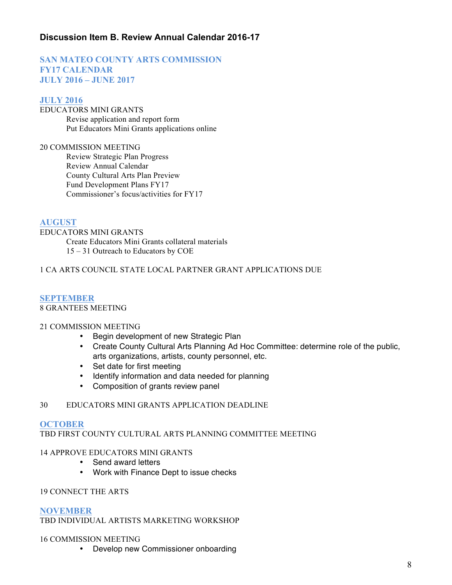# **Discussion Item B. Review Annual Calendar 2016-17**

# **SAN MATEO COUNTY ARTS COMMISSION FY17 CALENDAR JULY 2016 – JUNE 2017**

### **JULY 2016**

EDUCATORS MINI GRANTS Revise application and report form Put Educators Mini Grants applications online

20 COMMISSION MEETING Review Strategic Plan Progress Review Annual Calendar County Cultural Arts Plan Preview Fund Development Plans FY17 Commissioner's focus/activities for FY17

### **AUGUST**

EDUCATORS MINI GRANTS Create Educators Mini Grants collateral materials 15 – 31 Outreach to Educators by COE

### 1 CA ARTS COUNCIL STATE LOCAL PARTNER GRANT APPLICATIONS DUE

#### **SEPTEMBER** 8 GRANTEES MEETING

### 21 COMMISSION MEETING

- Begin development of new Strategic Plan
- Create County Cultural Arts Planning Ad Hoc Committee: determine role of the public, arts organizations, artists, county personnel, etc.
- Set date for first meeting
- Identify information and data needed for planning
- Composition of grants review panel

### 30 EDUCATORS MINI GRANTS APPLICATION DEADLINE

### **OCTOBER**

TBD FIRST COUNTY CULTURAL ARTS PLANNING COMMITTEE MEETING

### 14 APPROVE EDUCATORS MINI GRANTS

- Send award letters
- Work with Finance Dept to issue checks

### 19 CONNECT THE ARTS

### **NOVEMBER**

TBD INDIVIDUAL ARTISTS MARKETING WORKSHOP

### 16 COMMISSION MEETING

• Develop new Commissioner onboarding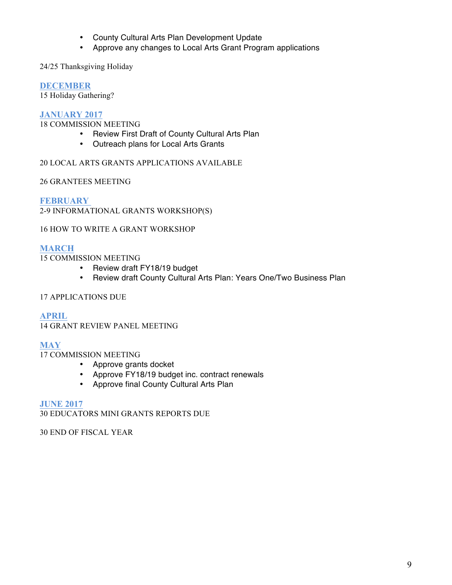- County Cultural Arts Plan Development Update
- Approve any changes to Local Arts Grant Program applications

# 24/25 Thanksgiving Holiday

# **DECEMBER**

15 Holiday Gathering?

# **JANUARY 2017**

18 COMMISSION MEETING

- Review First Draft of County Cultural Arts Plan
- Outreach plans for Local Arts Grants

# 20 LOCAL ARTS GRANTS APPLICATIONS AVAILABLE

26 GRANTEES MEETING

**FEBRUARY**  2-9 INFORMATIONAL GRANTS WORKSHOP(S)

## 16 HOW TO WRITE A GRANT WORKSHOP

## **MARCH**

15 COMMISSION MEETING

- Review draft FY18/19 budget
- Review draft County Cultural Arts Plan: Years One/Two Business Plan

### 17 APPLICATIONS DUE

**APRIL** 14 GRANT REVIEW PANEL MEETING

## **MAY**

17 COMMISSION MEETING

- Approve grants docket
- Approve FY18/19 budget inc. contract renewals
- Approve final County Cultural Arts Plan

### **JUNE 2017**

30 EDUCATORS MINI GRANTS REPORTS DUE

30 END OF FISCAL YEAR